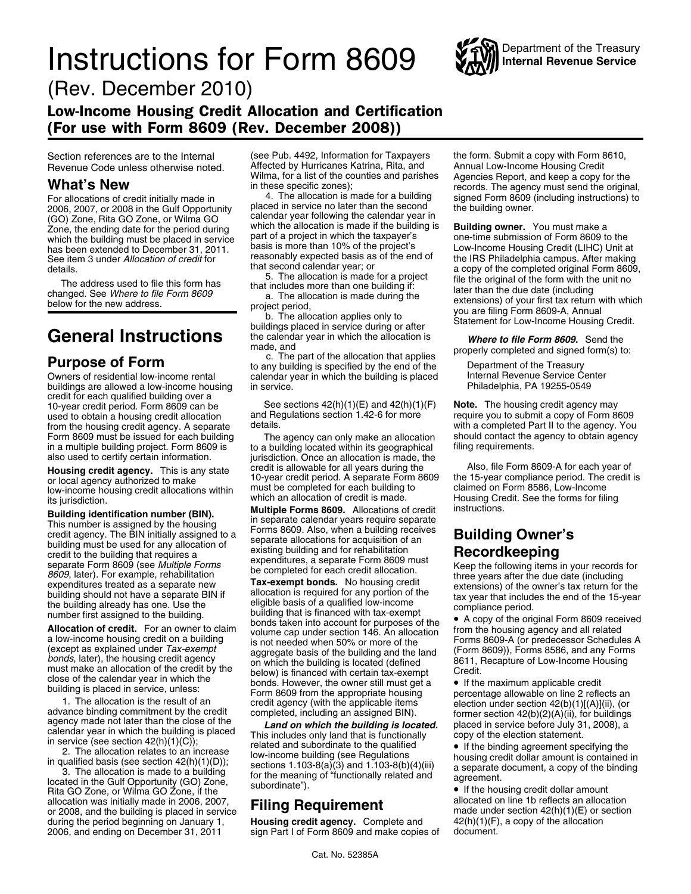# **Instructions for Form 8609** WAY Internal Revenue Service



(Rev. December 2010)

### Low-Income Housing Credit Allocation and Certification (For use with Form 8609 (Rev. December 2008))

buildings are allowed a low-income housing in service. credit for each qualified building over a 10-year credit period. Form 8609 can be See sections  $42(h)(1)(E)$  and  $42(h)(1)(F)$  **Note.** The housing credit agency may<br>used to obtain a housing credit allocation and Regulations section 1.42-6 for more require you to submit used to obtain a housing credit allocation and Regulations section 1.42-6 for more require you to submit a copy of Form 8609<br>from the housing credit agency. You retails details. from the housing credit agency. A separate details.<br>Form 8609 must be issued for each building The agency can only make an allocation should contact the agency to obtain agency Form 8609 must be issued for each building The agency can only make an allocation should contact the agency in a multiple building project. Form 8609 is to a building located within its geographical filing requirements. in a multiple building project. Form 8609 is to a building located within its geographical also used to certify certain information.

Example the building that is the building of the building that is expenditures, a separate Form 8609 must<br>separate Form 8609 (see *Multiple Forms* be completed for each credit allocation.<br>Become the following items in your

Rita GO Zone, or Wilma GO Zone, if the **care is the contract of the server allocation**<br>allocation was initially made in 2006, 2007, **Filing Requirement** allocated on line 1b reflects an allocation<br>or 2008, and the building or 2008, and the building is placed in service **Filing Requiremental mater made under section 42(h)(1)(E)** or section 42(h)(1)(E) or section 42(h)(1)(E) or section 42(h)(1)(E) or section 42(h)(1)(E) or section 42(h)(1)(E) during the period beginning on January 1, **Housing credit agency.** Complete and  $42(h)(1)(F)$ <br>2006, and ending on December 31, 2011 sign Part I of Form 8609 and make copies of document. 2006, and ending on December 31, 2011 sign Part I of Form 8609 and make copies of

Section references are to the Internal (see Pub. 4492, Information for Taxpayers the form. Submit a copy with Form 8610,<br>Revenue Code unless otherwise noted. Affected by Hurricanes Katrina, Rita, and Annual Low-Income Hous Revenue Code unless otherwise noted. Affected by Hurricanes Katrina, Rita, and<br>Wilma, for a list of the counties and parishes

For allocations of credit initially made in 4. The allocation is made for a building signed Form 8609 (including instructions) to 2006, 2007, or 2008 in the Guilf Opportunity placed in service no later than the second the 2006, 2007, or 2006 in the Gulf Opportunity calendar year following the calendar year in<br>2006, Zone, Rita GO Zone, or Wilma GO<br>20ne, the ending date for the period during which the allocation is made if the building is **Bu** Zone, the ending date for the period during which the allocation is made if the building is **Building owner.** You must make a<br>which the building must be placed in service part of a project in which the taxpayer's one-time which the building must be placed in service part of a project in which the taxpayer's one-time submission of Form 8609 to the has been extended to December 31, 2011. basis is more than 10% of the project's Low-Income Hous

Owners of residential low-income rental calendar year in which the building is placed Internal Revenue Service Center<br>buildings are allowed a low-income housing in service.

jurisdiction. Once an allocation is made, the credit is allowable for all years during the

**Building identification number (BIN).**<br> **Suite Forms 8609.** Allocations of credit<br>
This number is assigned by the housing<br>
This number is assigned by the housing<br>
The BIN initially assigned to a<br>
building must be used for

**Allocation of credit.** For an owner to claim<br>a low-income housing credit. For an owner to claim<br>a low-income housing credit on a building<br>(except as explained under Tax-exempt<br>bonds, later), the housing credit agency<br>must

close of the calendar year in which the<br>building is placed in service, unless:<br>building is placed in service, unless:<br>and contains the result of an<br>advance binding commitment by the credit and credit agency (with the appl

W**hat's New**<br>in these specific zones); we cords. The agency must send the original,<br>For allocations of credit initially made in these specific zones); records. The agency must send the original,<br>For allocations of credit i

the speed in seven extended to December 31, 2011.<br>
See item 3 under *Allocation of credit for*<br>
that second calendary exercised basis as of the end of<br>
the second calendary exercised basis as of the end of<br>
the second cale

**Housing credit agency.** This is any state of the vertex of the sallowable for all years during the the 15-year compliance period. The credit is allowable for all years during the the 15-year compliance period. The credit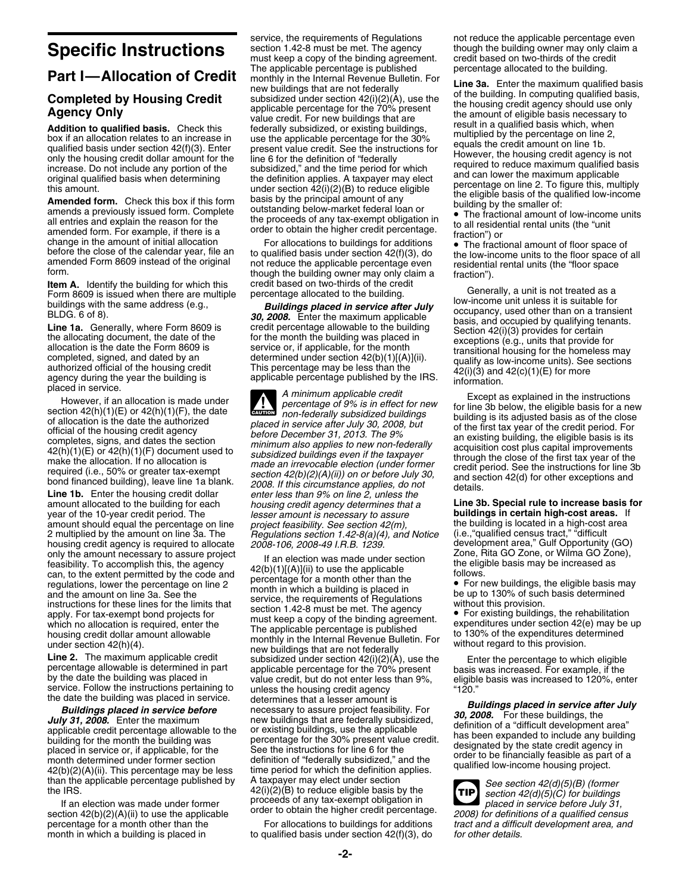amentes and expectation of low-income units<br>all entries and expection. For example, if there is a<br>change in the amount of initial allocation<br>change in the amount of initial allocation<br>before the close of the calendar year,

**Item A.** Identify the building for which this credit based on two-thirds of the credit Form 8609 is issued when there are multiple percentage allocated to the building.

housing credit agency is required to allocate *2008-106, 2008-49 I.R.B. 1239.* development area," Gulf Opportunity (GO)<br>only the amount necessary to assure project if an election was made under section **Zone**, Rita GO Zone

order to obtain the higher credit percentage.<br>
For allocations to buildings for additions *2008) for definitions of a qualified census*<br>
percentage for a month other than the *2008* For allocations to buildings for addit percentage for a month other than the For allocations to buildings for additions *tract and a difficult development area, and*<br>month in which a building is placed in to qualified basis under section 42(f)(3), do for other

service, the requirements of Regulations not reduce the applicable percentage even<br>section 1.42-8 must be met. The agency though the building owner may only claim a **Specific Instructions** section 1.42-8 must be met. The agency though the building owner may only claim and the stream and section 1.42-8 must keep a copy of the binding agreement. credit based on two-thirds of the credit must keep a copy of the binding agreement. credit based on two-thirds of the credit or the building.<br>The applicable percentage is published percentage allocated to the building. **Part I—Allocation of Credit** The applicable percentage is published<br> **Completed by Housing Credit** monthly in the internal Revenue Bulletin. For<br> **Completed by Housing Credit** move buildings that are not federally<br> **Agen** 

**CAUTION !** of allocation is the date the authorized<br>of allocation is the date the authorized<br>of allocation is the date the authorized<br>of the housing credit agency<br>of the first tax year of the credit period. For<br>completes, signs, and amount allocated to the building for each *housing credit agency determines that a* **Line 3b. Special rule to increase basis for** amount should equal the percentage on line *project feasibility. See section 42(m)*, the building is located in a high-cost 2 multiplied by the amount on line 3a. The *Regulations section 1.42-8(a)(4), and Notice* (i.e., " 2 multiplied by the amount on line 3a. The *Regulations section 1.42-8(a)(4), and Notice* (i.e.,"qualified census tract," "difficult

only the amount necessary to assure project<br>
fran election was made under section<br>
franchites, the agency<br>
can, to the extent permitted by the code and<br>
can, to the extent permitted by the code and<br>
regulations, lower the the date the building was placed in service.<br> **Buildings placed in service before** the mexisting between the test of the saibility. For **July 31, 2008.** Enter the maximum<br> **July 31, 2008.** Enter the maximum new buildings t than the applicable percentage published by A taxpayer may elect under section<br>the IRS.  $42(i)(2)(B)$  to reduce eligible basis by the<br>If an election was made under former proceeds of any tax-exempt obligation in proceeds of

to qualified basis under section 42(f)(3), do

Form 8609 is issued when there are multiple<br>
buildings **and the building**.<br>
Buildings **and** the same address (e.g.,<br>
Buildings **placed in service after July**<br>  $\begin{array}{ll}\n\text{Even B609} & \text{is issued when there are multiple}\n\end{array}$ <br>
ELDG. 6 of 8).<br> **Line 1a** 

**buildings in certain high-cost areas.** If the building is located in a high-cost area

**TIP**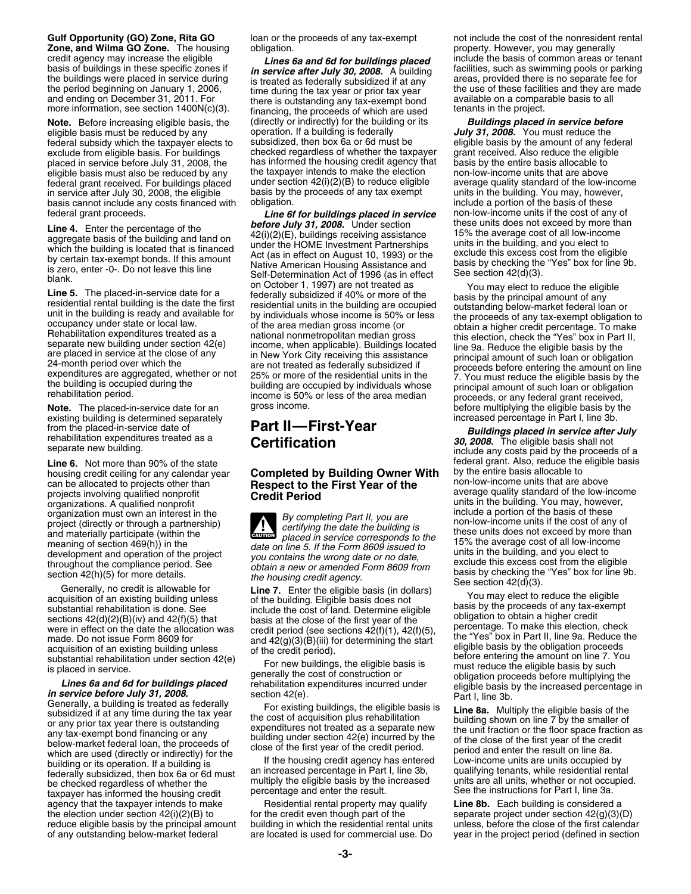# **Zone, and Wilma GO Zone.** The housing

eligible basis must be reduced by any operation. If a building is federally **July 31, 2008.** You must reduce the<br>federal subsidy which the taxpayer elects to subsidized, then box 6a or 6d must be eligible basis by the amou federal subsidy which the taxpayer elects to subsidized, then box 6a or 6d must be eligible basis by the amount of any fede<br>exclude from eligible basis. For buildings checked regardless of whether the taxpayer grant receiv exclude from eligible basis. For buildings checked regardless of whether the taxpayer grant received. Also reduce the eligit<br>placed in service before July 31, 2008, the has informed the housing credit agency that basis by placed in service before July 31, 2008, the has informed the housing credit agency that basis by the entire basis allocable to<br>eligible basis must also be reduced by any the taxpayer intends to make the election non-low-in eligible basis must also be reduced by any the taxpayer intends to make the election<br>federal grant received. For buildings placed under section 42(i)(2)(B) to reduce eligible federal grant received. For buildings placed under section 42(i)(2)(B) to reduce eligible average quality standard of the low-income<br>in service after July 30, 2008, the eligible basis by the proceeds of any tax exempt unit in service after July 30, 2008, the eligible basis by the proceeds of any tax exempt units in the building. You may, however, basis of these basis of these basis of these basis cannot include any costs financed with

existing building is determined separately **increased percentage increased percentage in Part II** — **First-Year** 

projects involving qualitied nonprofit **average quality standard of the low-income projects** involving qualitied nonprofit<br>
organizations. A qualified nonprofit<br>
organization must own an interest in the **the completion** an organization must own an interest in the **Example 19** By completing Part II, you are include a portion of the basis of these<br>project (directly or through a partnership) ertifying the date the building is the non-low-income

agency that the taxpayer intends to make Residential rental property may qualify **Line 8b.** Each building is considered a the election under section  $42(i)(2)(B)$  to for the credit even though part of the separate project under section  $42(g)(3)(D)$ reduce eligible basis by the principal amount building in which the residential rental units unless, before the close of the first calendar

basis of buildings in these specific zones if<br>the buildings were placed in service during<br>the period beginning on January 1, 2006,<br>and ending on December 31, 2011. For there is outstanding any tax-exempt bond<br>more informa **Note.** Before increasing eligible basis, the (directly or indirectly) for the building or its **Buildings placed in service before** eligible basis must be reduced by any operation. If a building is federally *Buly 31, 200* 

**Line 4.** Enter the percentage of the **before July 31, 2008.** Under section the building and hand on  $42(1)(3)$  (E) (E) buildings receiving and land on  $42(1)(3)$ . The average to basis of the building and jou elect to by ce

## housing credit ceiling for any calendar year **Completed by Building Owner With** by the entire basis allocable to can be allocated to projects other than **Respect to the First Year of the** non-low-income units that are above projects involving qualified nonprofit **Respect to the First Year of the** non-low-income average quality standa

**CAUTION !**

**Gulf Opportunity (GO) Zone, Rita GO** loan or the proceeds of any tax-exempt not include the cost of the nonresident rental **Zone, and Wilma GO Zone.** The housing obligation. credit agency may increase the eligible **Lines 6a and 6d for buildings placed** include the basis of common areas or tenant basis of buildings in these specific zones if **in service after July 30, 2008.** A building faciliti

federal grant proceeds.<br>**Line 6f for buildings placed in service** non-low-income units if the cost of any of<br>**Line 4** Foter the nercentage of the **before July 31, 2008.** Under section these units does not exceed by more th

**Note.** The placed-in-service date for an and process income is 50% or less of the area median proceeds, or any federal grant received,<br>**Note.** The placed-in-service date for an gross income.<br>existing building is determine

From the placed-in-service date of **Fart II—First-Year**<br>
From the placed-in-service date of **Fart II—First-Year**<br>
Separate new building.<br>
Separate new building.<br>
Separate new building.<br>
Separate new building. **Line 6.** Not more than 90% of the state federal grant. Also, reduce the eligible basis housing credit celling for any calendar year **Completed by Building Owner With** by the entire basis allocable to

meaning of section 469(hi)) in the proposition of the proposition of the proposition of the proposition of the control of the control of the control of the control of the control of the control of the control of the contr

of any outstanding below-market federal are located is used for commercial use. Do year in the project period (defined in section